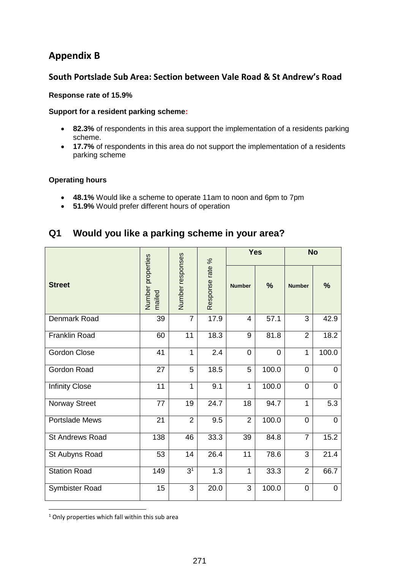## **Appendix B**

### **South Portslade Sub Area: Section between Vale Road & St Andrew's Road**

#### **Response rate of 15.9%**

#### **Support for a resident parking scheme:**

- **82.3%** of respondents in this area support the implementation of a residents parking scheme.
- **17.7%** of respondents in this area do not support the implementation of a residents parking scheme

#### **Operating hours**

- **48.1%** Would like a scheme to operate 11am to noon and 6pm to 7pm
- **51.9%** Would prefer different hours of operation

## **Q1 Would you like a parking scheme in your area?**

| <b>Street</b>          | Number properties<br>mailed | Number responses | Response rate % | <b>Yes</b>     |                | <b>No</b>      |                |
|------------------------|-----------------------------|------------------|-----------------|----------------|----------------|----------------|----------------|
|                        |                             |                  |                 | <b>Number</b>  | %              | <b>Number</b>  | %              |
| Denmark Road           | 39                          | $\overline{7}$   | 17.9            | 4              | 57.1           | 3              | 42.9           |
| <b>Franklin Road</b>   | 60                          | 11               | 18.3            | 9              | 81.8           | $\overline{2}$ | 18.2           |
| <b>Gordon Close</b>    | 41                          | $\mathbf{1}$     | 2.4             | $\Omega$       | $\overline{0}$ | $\mathbf{1}$   | 100.0          |
| Gordon Road            | 27                          | 5                | 18.5            | 5              | 100.0          | $\mathbf 0$    | $\mathbf 0$    |
| <b>Infinity Close</b>  | 11                          | $\mathbf{1}$     | 9.1             | 1              | 100.0          | $\overline{0}$ | $\mathbf 0$    |
| Norway Street          | 77                          | 19               | 24.7            | 18             | 94.7           | $\mathbf{1}$   | 5.3            |
| <b>Portslade Mews</b>  | 21                          | $\overline{2}$   | 9.5             | $\overline{2}$ | 100.0          | $\mathbf 0$    | $\overline{0}$ |
| <b>St Andrews Road</b> | 138                         | 46               | 33.3            | 39             | 84.8           | $\overline{7}$ | 15.2           |
| St Aubyns Road         | 53                          | 14               | 26.4            | 11             | 78.6           | 3              | 21.4           |
| <b>Station Road</b>    | 149                         | 3 <sup>1</sup>   | 1.3             | 1              | 33.3           | 2              | 66.7           |
| Symbister Road         | 15                          | 3                | 20.0            | 3              | 100.0          | 0              | 0              |

**.** <sup>1</sup> Only properties which fall within this sub area